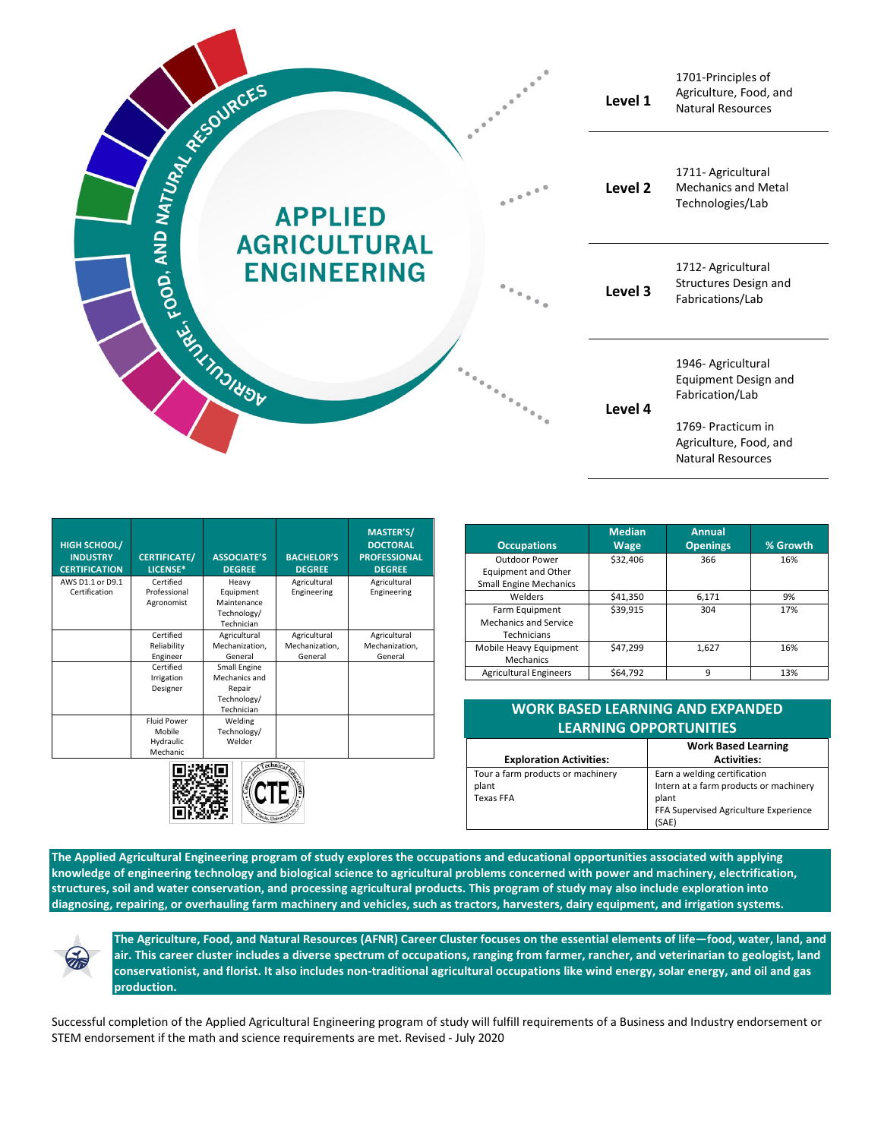

| <b>HIGH SCHOOL/</b><br><b>INDUSTRY</b><br><b>CERTIFICATION</b> | <b>CERTIFICATE/</b><br>LICENSE* | <b>ASSOCIATE'S</b><br><b>DEGREE</b> | <b>BACHELOR'S</b><br><b>DEGREE</b> | <b>MASTER'S/</b><br><b>DOCTORAL</b><br><b>PROFESSIONAL</b><br><b>DEGREE</b> |
|----------------------------------------------------------------|---------------------------------|-------------------------------------|------------------------------------|-----------------------------------------------------------------------------|
| AWS D1.1 or D9.1                                               | Certified<br>Professional       | Heavy                               | Agricultural                       | Agricultural                                                                |
| Certification                                                  | Agronomist                      | Equipment<br>Maintenance            | Engineering                        | Engineering                                                                 |
|                                                                |                                 | Technology/                         |                                    |                                                                             |
|                                                                |                                 | Technician                          |                                    |                                                                             |
|                                                                | Certified                       | Agricultural                        | Agricultural                       | Agricultural                                                                |
|                                                                | Reliability                     | Mechanization,                      | Mechanization,                     | Mechanization,                                                              |
|                                                                | Engineer                        | General                             | General                            | General                                                                     |
|                                                                | Certified                       | Small Engine                        |                                    |                                                                             |
|                                                                | Irrigation                      | Mechanics and                       |                                    |                                                                             |
|                                                                | Designer                        | Repair                              |                                    |                                                                             |
|                                                                |                                 | Technology/                         |                                    |                                                                             |
|                                                                |                                 | Technician                          |                                    |                                                                             |
|                                                                | <b>Fluid Power</b>              | Welding                             |                                    |                                                                             |
|                                                                | Mobile                          | Technology/                         |                                    |                                                                             |
|                                                                | Hydraulic                       | Welder                              |                                    |                                                                             |
|                                                                | Mechanic                        |                                     |                                    |                                                                             |



| <b>Occupations</b>                                                    | <b>Median</b><br><b>Wage</b> | <b>Annual</b><br><b>Openings</b> | % Growth |
|-----------------------------------------------------------------------|------------------------------|----------------------------------|----------|
| Outdoor Power<br>Equipment and Other<br><b>Small Engine Mechanics</b> | \$32,406                     | 366                              | 16%      |
| Welders                                                               | \$41,350                     | 6,171                            | 9%       |
| Farm Equipment<br>Mechanics and Service<br>Technicians                | \$39,915                     | 304                              | 17%      |
| Mobile Heavy Equipment<br><b>Mechanics</b>                            | \$47.299                     | 1,627                            | 16%      |
| <b>Agricultural Engineers</b>                                         | \$64.792                     | 9                                | 13%      |

| <b>WORK BASED LEARNING AND EXPANDED</b><br><b>LEARNING OPPORTUNITIES</b> |                                                                                                                                   |  |  |  |
|--------------------------------------------------------------------------|-----------------------------------------------------------------------------------------------------------------------------------|--|--|--|
| <b>Exploration Activities:</b>                                           | <b>Work Based Learning</b><br><b>Activities:</b>                                                                                  |  |  |  |
| Tour a farm products or machinery<br>plant<br><b>Texas FFA</b>           | Earn a welding certification<br>Intern at a farm products or machinery<br>plant<br>FFA Supervised Agriculture Experience<br>(SAE) |  |  |  |

**The Applied Agricultural Engineering program of study explores the occupations and educational opportunities associated with applying knowledge of engineering technology and biological science to agricultural problems concerned with power and machinery, electrification, structures, soil and water conservation, and processing agricultural products. This program of study may also include exploration into diagnosing, repairing, or overhauling farm machinery and vehicles, such as tractors, harvesters, dairy equipment, and irrigation systems.**



**The Agriculture, Food, and Natural Resources (AFNR) Career Cluster focuses on the essential elements of life—food, water, land, and air. This career cluster includes a diverse spectrum of occupations, ranging from farmer, rancher, and veterinarian to geologist, land conservationist, and florist. It also includes non-traditional agricultural occupations like wind energy, solar energy, and oil and gas production.**

Successful completion of the Applied Agricultural Engineering program of study will fulfill requirements of a Business and Industry endorsement or STEM endorsement if the math and science requirements are met. Revised - July 2020